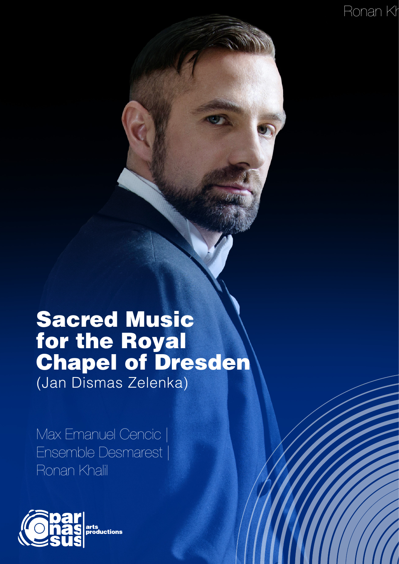Ronan Kh

## Sacred Music for the Royal Chapel of Dresden (Jan Dismas Zelenka)

Max Emanuel Cencic | Ensemble Desmarest | Ronan Khalil